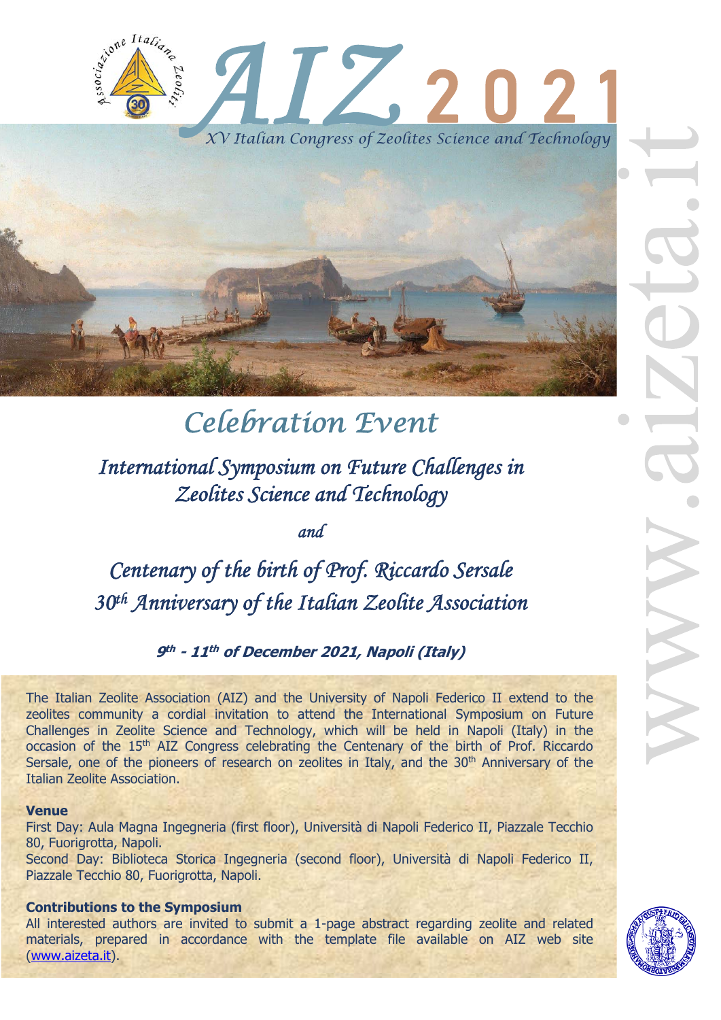



# *Celebration Event*

*International Symposium on Future Challenges in Zeolites Science and Technology* 

*and* 

*Centenary of the birth of Prof. Riccardo Sersale 30th Anniversary of the Italian Zeolite Association* 

**9th - 11th of December 2021, Napoli (Italy)**

The Italian Zeolite Association (AIZ) and the University of Napoli Federico II extend to the zeolites community a cordial invitation to attend the International Symposium on Future Challenges in Zeolite Science and Technology, which will be held in Napoli (Italy) in the occasion of the 15<sup>th</sup> AIZ Congress celebrating the Centenary of the birth of Prof. Riccardo Sersale, one of the pioneers of research on zeolites in Italy, and the 30<sup>th</sup> Anniversary of the Italian Zeolite Association.

#### **Venue**

First Day: Aula Magna Ingegneria (first floor), Università di Napoli Federico II, Piazzale Tecchio 80, Fuorigrotta, Napoli.

Second Day: Biblioteca Storica Ingegneria (second floor), Università di Napoli Federico II, Piazzale Tecchio 80, Fuorigrotta, Napoli.

#### **Contributions to the Symposium**

All interested authors are invited to submit a 1-page abstract regarding zeolite and related materials, prepared in accordance with the template file available on AIZ web site (www.aizeta.it).